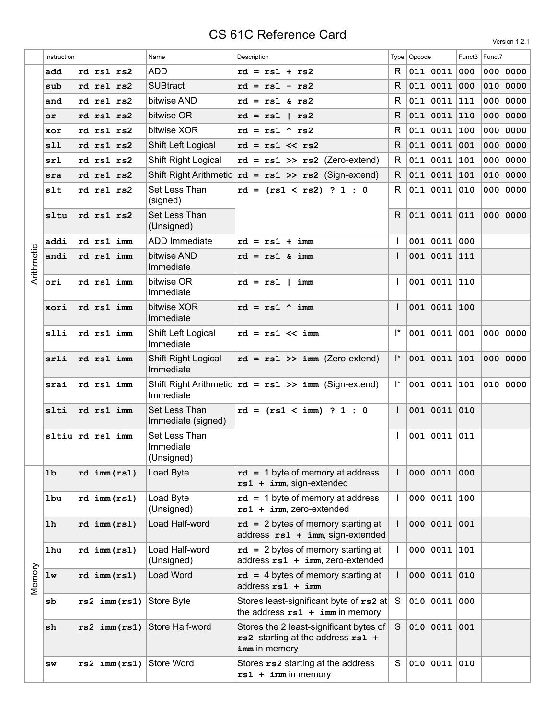# CS 61C Reference Card

|            | Instruction      |  | Name       | Description            |                                          |  | Type   Opcode                                                                                 |                | Funct <sub>3</sub>   Funct <sub>7</sub> |                |     |          |
|------------|------------------|--|------------|------------------------|------------------------------------------|--|-----------------------------------------------------------------------------------------------|----------------|-----------------------------------------|----------------|-----|----------|
|            | add              |  | rd rs1 rs2 |                        | <b>ADD</b>                               |  | $rd = rs1 + rs2$                                                                              | R.             |                                         | 011 0011       | 000 | 000 0000 |
|            | sub              |  | rd rs1 rs2 |                        | <b>SUBtract</b>                          |  | $rd = rs1 - rs2$                                                                              | R.             |                                         | 011 0011       | 000 | 010 0000 |
|            | and              |  | rd rs1 rs2 |                        | bitwise AND                              |  | $rd = rs1$ & $rs2$                                                                            | R.             |                                         | 011 0011       | 111 | 000 0000 |
|            | or               |  | rd rs1 rs2 |                        | bitwise OR                               |  | $rd = rs1$   $rs2$                                                                            | R              |                                         | 011 0011       | 110 | 000 0000 |
|            | xor              |  | rd rs1 rs2 |                        | bitwise XOR                              |  | $rd = rs1$ $\land$ $rs2$                                                                      | R.             |                                         | 011 0011  100  |     | 000 0000 |
|            | sll              |  | rd rs1 rs2 |                        | Shift Left Logical                       |  | $rd = rs1 \leq rs2$                                                                           | R.             |                                         | 011 0011       | 001 | 000 0000 |
|            | srl              |  |            | rd rs1 rs2             | <b>Shift Right Logical</b>               |  | $rd = rs1 \gg rs2$ (Zero-extend)                                                              | R.             |                                         | 011 0011       | 101 | 000 0000 |
|            | sra              |  | rd rs1 rs2 |                        |                                          |  | Shift Right Arithmetic $\mathbf{r}d = \mathbf{r}s1 \gg \mathbf{r}s2$ (Sign-extend)            | R.             |                                         | 011 0011       | 101 | 010 0000 |
|            | slt              |  | rd rs1 rs2 |                        | Set Less Than<br>(signed)                |  | $rd = (rs1 < rs2)$ ? 1 : 0                                                                    | R.             |                                         | 011 0011       | 010 | 000 0000 |
|            | sltu             |  | rd rs1 rs2 |                        | Set Less Than<br>(Unsigned)              |  |                                                                                               | R.             |                                         | $011$ 0011 011 |     | 000 0000 |
|            | addi             |  |            | rd rs1 imm             | ADD Immediate                            |  | $rd = rs1 + imm$                                                                              | H              |                                         | 001 0011 000   |     |          |
| Arithmetic | andi             |  |            | rd rs1 imm             | bitwise AND<br>Immediate                 |  | $rd = rs1$ & imm                                                                              |                |                                         | 001 0011 111   |     |          |
|            | ori              |  |            | rd rs1 imm             | bitwise OR<br>Immediate                  |  | $rd = rs1$   imm                                                                              |                |                                         | 001 0011 110   |     |          |
|            | xori             |  |            | rd rs1 imm             | bitwise XOR<br>Immediate                 |  | $rd = rs1$ $\land$ imm                                                                        | L              |                                         | 001 0011 100   |     |          |
|            | slli             |  |            | rd rs1 imm             | Shift Left Logical<br>Immediate          |  | $rd = rs1 \leq imm$                                                                           | $\mathsf{I}^*$ |                                         | 001 0011       | 001 | 000 0000 |
|            | srli             |  |            | rd rs1 imm             | Shift Right Logical<br>Immediate         |  | $rd = rs1 \gg imm (Zero-extend)$                                                              | $\mathsf{I}^*$ |                                         | 001 0011 101   |     | 000 0000 |
|            | srai             |  |            | rd rs1 imm             | Immediate                                |  | Shift Right Arithmetic $\mathbf{r}d = \mathbf{r}s1 \gg \mathbf{imm}$ (Sign-extend)            | $\mathsf{I}^*$ |                                         | 001 0011       | 101 | 010 0000 |
|            | slti             |  |            | rd rs1 imm             | Set Less Than<br>Immediate (signed)      |  | $rd = (rs1 < imm)$ ? 1 : 0                                                                    | I.             |                                         | 001 0011       | 010 |          |
|            | sltiu rd rs1 imm |  |            |                        | Set Less Than<br>Immediate<br>(Unsigned) |  |                                                                                               |                |                                         | 001 0011       | 011 |          |
|            | 1 <sub>b</sub>   |  |            | $rd \text{imm}(rs1)$   | Load Byte                                |  | $\texttt{rd} = 1$ byte of memory at address<br>$rs1 + imm$ , sign-extended                    |                |                                         | 0000011        | 000 |          |
|            | lbu              |  |            | $rd \text{imm}(rs1)$   | Load Byte<br>(Unsigned)                  |  | $\texttt{rd} = 1$ byte of memory at address<br>$rs1 + imm$ , zero-extended                    |                |                                         | 000 0011 100   |     |          |
|            | 1 <sub>h</sub>   |  |            | $rd \text{imm}(rs1)$   | Load Half-word                           |  | $rd = 2$ bytes of memory starting at<br>address $rs1 + imm$ , sign-extended                   |                |                                         | 000 0011       | 001 |          |
|            | <b>1hu</b>       |  |            | $rd\text{imm}(rs1)$    | Load Half-word<br>(Unsigned)             |  | $rd = 2$ bytes of memory starting at<br>$address r s1 + imm$ , zero-extended                  |                |                                         | 000 0011 101   |     |          |
| Memory     | lw               |  |            | $rd \text{imm}(rs1)$   | Load Word                                |  | $rd = 4$ bytes of memory starting at<br>address $rs1 + imm$                                   |                |                                         | 000 0011       | 010 |          |
|            | sb               |  |            | $rs2 \text{ imm}(rs1)$ | Store Byte                               |  | Stores least-significant byte of $r s 2$ at $S$<br>the address $rs1 + imm$ in memory          |                |                                         | 0100011        | 000 |          |
|            | sh               |  |            | $rs2 \text{ imm}(rs1)$ | Store Half-word                          |  | Stores the 2 least-significant bytes of<br>rs2 starting at the address rs1 +<br>imm in memory | S              |                                         | 010 0011       | 001 |          |
|            | SW               |  |            | $rs2 \text{ imm}(rs1)$ | Store Word                               |  | Stores rs2 starting at the address<br>$rs1 + imm$ in memory                                   | S              |                                         | 010 0011       | 010 |          |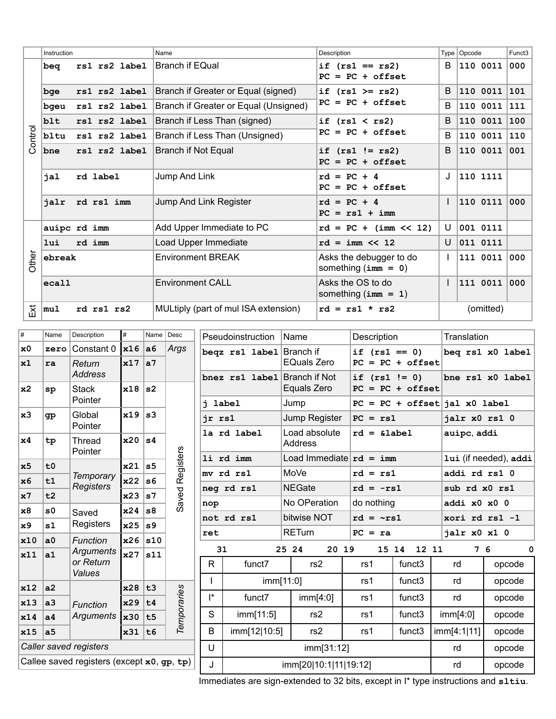|                         | Instruction           |               |  | Name                                             | Description                                       |              | Type   Opcode |           | Funct3 |
|-------------------------|-----------------------|---------------|--|--------------------------------------------------|---------------------------------------------------|--------------|---------------|-----------|--------|
|                         | rs1 rs2 label<br>beq  |               |  | Branch if EQual                                  | if $(rs1 == rs2)$<br>$PC = PC + offset$           | B            |               | 110 0011  | 000    |
|                         | bqe                   | rs1 rs2 label |  | Branch if Greater or Equal (signed)              | if $(rs1 \geq rs2)$                               | B            |               | 110 0011  | 101    |
|                         | bgeu                  | rs1 rs2 label |  | Branch if Greater or Equal (Unsigned)            | $PC = PC + offset$                                | B            |               | 1100011   | 111    |
|                         | blt                   | rs1 rs2 label |  | Branch if Less Than (signed)<br>if $(rs1 < rs2)$ |                                                   | B            |               | 1100011   | 100    |
| Control                 | bltu<br>rs1 rs2 label |               |  | Branch if Less Than (Unsigned)                   | $PC = PC + offset$                                | B            |               | 1100011   | 110    |
|                         | bne                   | rs1 rs2 label |  | Branch if Not Equal                              | if $(rs1 != rs2)$<br>$PC = PC + offset$           | B            |               | 1100011   | 001    |
|                         | jal<br>rd label       |               |  | Jump And Link                                    | $\text{rd} = \text{PC} + 4$<br>$PC = PC + offset$ | J            |               | 110 1111  |        |
|                         | jalr<br>rd rs1 imm    |               |  | Jump And Link Register                           | $\text{rd} = \text{PC} + 4$<br>$PC = rs1 + imm$   |              |               | 110 0111  | 000    |
|                         |                       | auipc rd imm  |  | Add Upper Immediate to PC                        | $rd = PC + (imm \ll 12)$                          | U            |               | 001 0111  |        |
|                         | lui                   | rd imm        |  | Load Upper Immediate                             | $rd = imm \leq 12$                                | U            |               | 011 0111  |        |
| Other                   | ebreak                |               |  | <b>Environment BREAK</b>                         | Asks the debugger to do<br>something $(imm = 0)$  | $\mathbf{I}$ |               | 111 0011  | 000    |
|                         | ecall                 |               |  | <b>Environment CALL</b>                          | Asks the OS to do<br>something $(imm = 1)$        | I            |               | 111 0011  | 000    |
| $\overline{\mathrm{x}}$ | rd rs1 rs2<br>mul.    |               |  | MULtiply (part of mul ISA extension)             | $rd = rs1 * rs2$                                  |              |               | (omitted) |        |

| Εx<br>rd rs1 rs2<br>$ \text{mul} $         |                                                                                    |                     |                     |                |             |                       | MULtiply (part of mul ISA extension) |                                 |                                          | $rd = rs1 * rs2$          |                    |                                        | (omitted)        |  |
|--------------------------------------------|------------------------------------------------------------------------------------|---------------------|---------------------|----------------|-------------|-----------------------|--------------------------------------|---------------------------------|------------------------------------------|---------------------------|--------------------|----------------------------------------|------------------|--|
| $\overline{\mathbf{r}}$                    | Name                                                                               | Description         | #                   |                | Name Desc   |                       | Pseudoinstruction                    | Description<br>Name             |                                          |                           |                    | Translation                            |                  |  |
| x0                                         | zero                                                                               | Constant 0          | x16                 | a6             | Args        |                       | beqz rs1 label Branch if             |                                 | if $(rs1 == 0)$                          |                           |                    | beg rs1 x0 label                       |                  |  |
| x1                                         | ra                                                                                 | Return              | $x17 \vert a7$      |                |             |                       |                                      |                                 | <b>EQuals Zero</b><br>$PC = PC + offset$ |                           |                    |                                        |                  |  |
|                                            |                                                                                    | <b>Address</b>      |                     |                |             |                       | $b$ nez $rs1$ label Branch if Not    |                                 |                                          | if $(rs1 != 0)$           |                    |                                        | bne rs1 x0 label |  |
| lx2                                        | sp                                                                                 | <b>Stack</b>        | x18                 | s2             |             |                       |                                      | Equals Zero                     |                                          | $PC = PC + offset$        |                    |                                        |                  |  |
|                                            |                                                                                    | Pointer             |                     |                |             | i label               |                                      | Jump                            |                                          |                           |                    | $PC = PC + offset$ jal x0 label        |                  |  |
| x3                                         | qp                                                                                 | Global<br>Pointer   | x19                 | s3             |             | jr rs1                |                                      | Jump Register                   |                                          | $PC = rs1$                |                    | jalr x0 rs1 0                          |                  |  |
| $\vert x4 \vert$                           | tp                                                                                 | <b>Thread</b>       | x20                 | s4             |             |                       | la rd label                          | Load absolute<br><b>Address</b> |                                          | $rd = $label$             |                    | auipc, addi                            |                  |  |
|                                            |                                                                                    | Pointer             |                     |                |             |                       |                                      |                                 |                                          |                           |                    |                                        |                  |  |
| $\vert$ x5                                 | t0                                                                                 |                     | x21                 | s5             | Registers   |                       | li rd imm                            |                                 |                                          | Load Immediate $rd = imm$ |                    | lui (if needed), addi<br>addi rd rs1 0 |                  |  |
| $\vert$ x6                                 | t1                                                                                 | Temporary           | x22                 | s6             |             |                       | mv rd rs1                            | MoVe                            | $rd = rs1$                               |                           |                    |                                        |                  |  |
| ∣x7                                        | t2                                                                                 | Registers           | <b>x23</b>          | s7             |             |                       | neg rd rs1                           | <b>NEGate</b>                   |                                          | $rd = -rs1$               |                    | sub rd x0 rs1                          |                  |  |
| $\mathbf{x}$ 8                             | $\boldsymbol{\mathsf{s}}$ 0                                                        | Saved               | x24                 | s8             | Saved I     | nop                   |                                      | No OPeration                    |                                          | do nothing                |                    | $addi \times 0 \times 0$ 0             |                  |  |
| x9                                         | s1                                                                                 | Registers           | x25                 | s <sub>9</sub> |             |                       | not rd rs1                           | bitwise NOT                     |                                          | $rd = \gamma rsl$         |                    | xori rd rs1 -1                         |                  |  |
| x10                                        | a <sub>0</sub>                                                                     | Function            | x26                 | s10            |             | ret                   |                                      | <b>RETurn</b><br>$PC = ra$      |                                          |                           | jalr x0 x1 0       |                                        |                  |  |
| x11                                        | a1                                                                                 | Arguments           | x27                 | s11            |             |                       | 31                                   | 25 24                           | 20 19                                    | 15 14                     | 12 11              | 7 6                                    | 0                |  |
|                                            |                                                                                    | or Return<br>Values |                     |                |             | $\mathsf{R}$          | funct7                               | rs2                             |                                          | rs1                       | funct <sub>3</sub> | rd                                     | opcode           |  |
| x12                                        | a2                                                                                 |                     | x28                 | t3             |             |                       |                                      | imm[11:0]                       |                                          | rs1                       | funct <sub>3</sub> | rd                                     | opcode           |  |
| x13                                        | la3                                                                                | Function            | x29                 | t4             |             | $\mathsf{I}^*$        | funct7                               |                                 | imm[4:0]                                 | rs1                       | funct <sub>3</sub> | rd                                     | opcode           |  |
| x14                                        | ∣a4                                                                                | Arguments           | $\vert$ x30 $\vert$ | t <sub>5</sub> | Temporaries | S                     | imm[11:5]                            |                                 | rs2                                      | rs1                       | funct <sub>3</sub> | imm[4:0]                               | opcode           |  |
| $x15$ a5                                   |                                                                                    |                     | x31 t6              |                |             | B                     | imm[12 10:5]                         |                                 | rs2                                      | rs1                       | funct <sub>3</sub> | imm[4:1 11]                            | opcode           |  |
| Caller saved registers                     |                                                                                    |                     |                     |                |             | $\cup$                | imm[31:12]                           |                                 |                                          |                           |                    | rd                                     | opcode           |  |
| Callee saved registers (except x0, gp, tp) |                                                                                    |                     |                     |                | J.          | imm[20 10:1 11 19:12] |                                      |                                 |                                          |                           | rd                 | opcode                                 |                  |  |
|                                            | Immediates are sign-extended to 32 bits, except in I* type instructions and s1tiu. |                     |                     |                |             |                       |                                      |                                 |                                          |                           |                    |                                        |                  |  |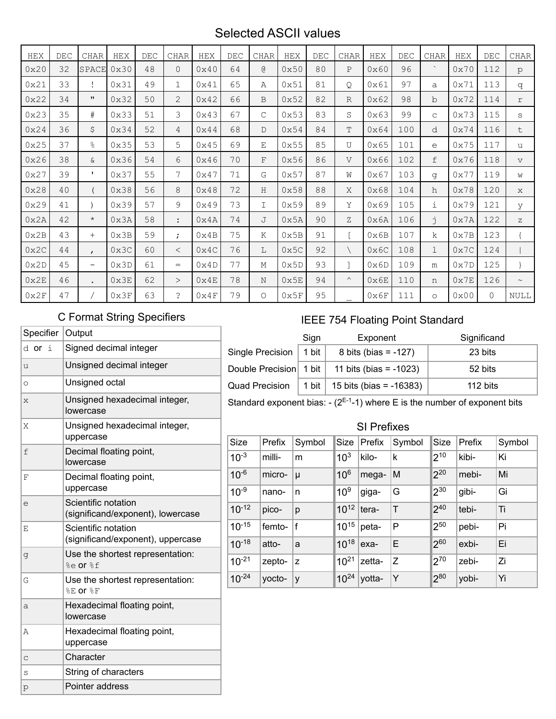# **Selected ASCII values**

| HEX  | <b>DEC</b> | CHAR                     | HEX  | DEC | <b>CHAR</b>          | <b>HEX</b>    | DEC | CHAR         | <b>HEX</b> | DEC | <b>CHAR</b>  | HEX           | DEC | CHAR                | <b>HEX</b> | DEC      | <b>CHAR</b>    |
|------|------------|--------------------------|------|-----|----------------------|---------------|-----|--------------|------------|-----|--------------|---------------|-----|---------------------|------------|----------|----------------|
| 0x20 | 32         | SPACE                    | 0x30 | 48  | $\Omega$             | 0x40          | 64  | G.           | 0x50       | 80  | P            | 0x60          | 96  | $\hat{\phantom{a}}$ | 0x70       | 112      | p              |
| 0x21 | 33         | <sup>-</sup>             | 0x31 | 49  | $\mathbf{1}$         | 0x41          | 65  | Α            | 0x51       | 81  | Q            | 0x61          | 97  | a                   | 0x71       | 113      | q              |
| 0x22 | 34         | $\blacksquare$           | 0x32 | 50  | $\overline{2}$       | 0x42          | 66  | B            | 0x52       | 82  | $\mathbb{R}$ | 0x62          | 98  | b                   | 0x72       | 114      | $\Upsilon$     |
| 0x23 | 35         | $_{\rm \#}$              | 0x33 | 51  | 3                    | 0x43          | 67  | C            | 0x53       | 83  | S            | 0x63          | 99  | $\mathsf{C}$        | 0x73       | 115      | S              |
| 0x24 | 36         | \$                       | 0x34 | 52  | 4                    | 0x44          | 68  | $\mathbb{D}$ | 0x54       | 84  | T            | 0x64          | 100 | d                   | 0x74       | 116      | t              |
| 0x25 | 37         | $\frac{6}{6}$            | 0x35 | 53  | 5                    | 0x45          | 69  | Ε            | 0x55       | 85  | U            | 0x65          | 101 | e                   | 0x75       | 117      | u              |
| 0x26 | 38         | $\delta$                 | 0x36 | 54  | 6                    | 0x46          | 70  | F            | 0x56       | 86  | V            | 0x66          | 102 | f                   | 0x76       | 118      | $\overline{v}$ |
| 0x27 | 39         | $\mathbf{I}$             | 0x37 | 55  | 7                    | 0x47          | 71  | G            | 0x57       | 87  | W            | 0x67          | 103 | g                   | 0x77       | 119      | W              |
| 0x28 | 40         |                          | 0x38 | 56  | 8                    | 0x48          | 72  | Η            | 0x58       | 88  | X            | 0x68          | 104 | h                   | 0x78       | 120      | $\mathbf{x}$   |
| 0x29 | 41         |                          | 0x39 | 57  | 9                    | 0x49          | 73  | I            | 0x59       | 89  | Y            | 0x69          | 105 | i                   | 0x79       | 121      | y              |
| 0x2A | 42         | $\star$                  | 0x3A | 58  | $\ddot{\phantom{a}}$ | $0 \times 4A$ | 74  | J            | 0x5A       | 90  | Ζ            | 0x6A          | 106 | j                   | 0x7A       | 122      | Z              |
| 0x2B | 43         | $+$                      | 0x3B | 59  | $\ddot{ }$           | 0x4B          | 75  | Κ            | 0x5B       | 91  |              | 0x6B          | 107 | k.                  | 0x7B       | 123      |                |
| 0x2C | 44         | $\mathbf{r}$             | 0x3C | 60  | $\lt$                | 0x4C          | 76  | L            | 0x5C       | 92  |              | 0x6C          | 108 | $\mathbf 1$         | 0x7C       | 124      |                |
| 0x2D | 45         | $\overline{\phantom{m}}$ | 0x3D | 61  | $=$                  | 0x4D          | 77  | М            | 0x5D       | 93  |              | $0 \times 6D$ | 109 | m                   | 0x7D       | 125      | $\mathcal{E}$  |
| 0x2E | 46         |                          | 0x3E | 62  | $\geq$               | 0x4E          | 78  | N            | 0x5E       | 94  | $\wedge$     | 0x6E          | 110 | n                   | 0x7E       | 126      | $\sim$         |
| 0x2F | 47         |                          | 0x3F | 63  | 2                    | $0 \times 4F$ | 79  | $\Omega$     | 0x5F       | 95  |              | $0\times 6F$  | 111 | $\circ$             | 0x00       | $\Omega$ | <b>NULL</b>    |

#### C Format String Specifiers  $\top$

| Specifier | Output                                                   |
|-----------|----------------------------------------------------------|
| d or i    | Signed decimal integer                                   |
| u         | Unsigned decimal integer                                 |
| $\circ$   | Unsigned octal                                           |
| X         | Unsigned hexadecimal integer,<br>lowercase               |
| Χ         | Unsigned hexadecimal integer,<br>uppercase               |
| f         | Decimal floating point,<br>lowercase                     |
| F         | Decimal floating point,<br>uppercase                     |
| е         | Scientific notation<br>(significand/exponent), lowercase |
| Ε         | Scientific notation<br>(significand/exponent), uppercase |
| g         | Use the shortest representation:<br>&e or &f             |
| G         | Use the shortest representation:<br>$8E$ Or $8F$         |
| a         | Hexadecimal floating point,<br>lowercase                 |
| А         | Hexadecimal floating point,<br>uppercase                 |
| C         | Character                                                |
| S         | String of characters                                     |
| p         | Pointer address                                          |

## IEEE 754 Floating Point Standard

|                          | Sign  | Exponent                                                                                                                                                                                                                                  | Significand |
|--------------------------|-------|-------------------------------------------------------------------------------------------------------------------------------------------------------------------------------------------------------------------------------------------|-------------|
| Single Precision         | 1 bit | 8 bits (bias = $-127$ )                                                                                                                                                                                                                   | 23 bits     |
| Double Precision   1 bit |       | 11 bits (bias = $-1023$ )                                                                                                                                                                                                                 | 52 bits     |
| Quad Precision           |       | 1 bit   15 bits (bias = -16383)                                                                                                                                                                                                           | 112 bits    |
|                          |       | $\alpha$ is the $\alpha$ $\alpha$ is the set of the set of the set of the set of the set of the set of the set of the set of the set of the set of the set of the set of the set of the set of the set of the set of the set of the set o |             |

Standard exponent bias:  $-(2^{E-1}-1)$  where E is the number of exponent bits

## SI Prefixes

| <b>Size</b> | Prefix | Symbol | Size                             | Prefix           | Symbol      | Size     | Prefix | Symbol |
|-------------|--------|--------|----------------------------------|------------------|-------------|----------|--------|--------|
| $10^{-3}$   | milli- | m      | 10 <sup>3</sup>                  | kilo-            | k           | $2^{10}$ | kibi-  | Ki     |
| $10^{-6}$   | micro- | $\mu$  | 10 <sup>6</sup>                  | mega-            | M           | $2^{20}$ | mebi-  | Mi     |
| $10^{-9}$   | nano-  | n      | 10 <sup>9</sup>                  | giga-            | G           | $2^{30}$ | gibi-  | Gi     |
| $10^{-12}$  | pico-  | p      |                                  | $10^{12}$ tera-  | $\mathsf T$ | $2^{40}$ | tebi-  | Ti     |
| $10^{-15}$  | femto- | ١f     | $^{\dagger}$ 10 $^{\text{15}}$ i | peta-            | P           | $2^{50}$ | pebi-  | Pi     |
| $10^{-18}$  | atto-  | a      | $10^{18}$                        | exa-             | E           | 260      | exbi-  | Ei     |
| $10^{-21}$  | zepto- | lz.    | $10^{21}$                        | zetta-           | Z           | $2^{70}$ | zebi-  | Ζi     |
| $10^{-24}$  | yocto- | V      |                                  | $10^{24}$ yotta- | Y           | 280      | yobi-  | Yi     |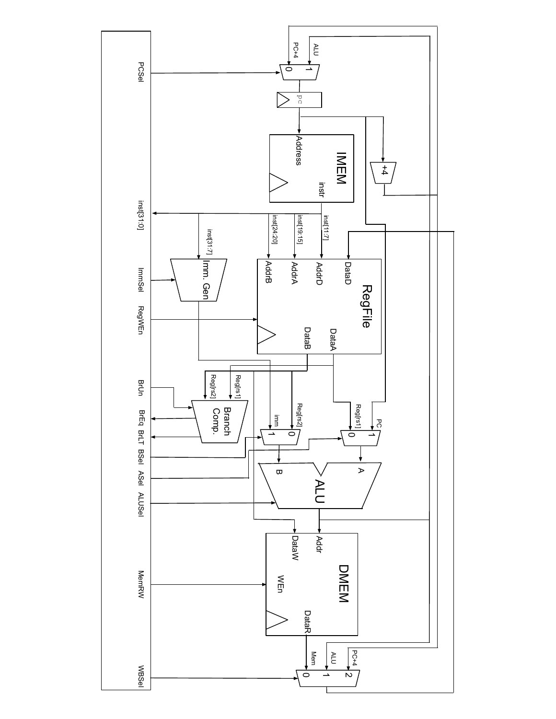